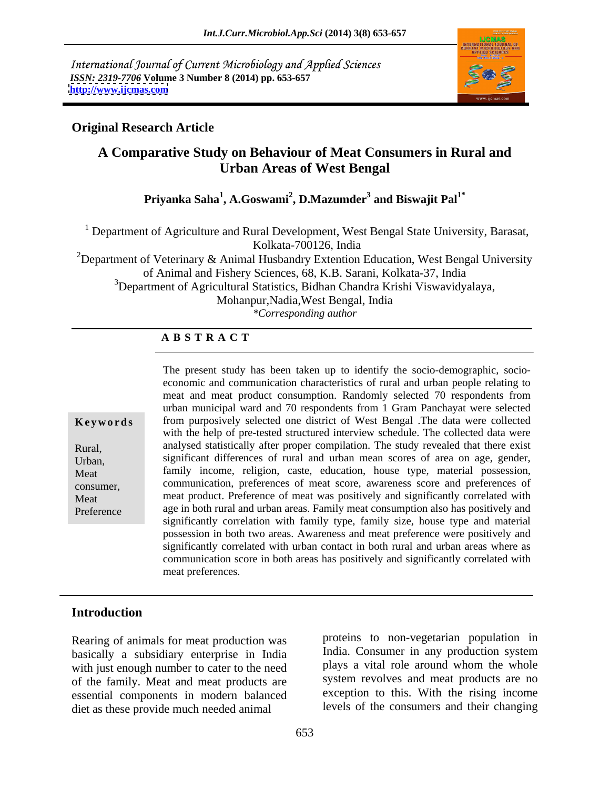International Journal of Current Microbiology and Applied Sciences *ISSN: 2319-7706* **Volume 3 Number 8 (2014) pp. 653-657 <http://www.ijcmas.com>**



## **Original Research Article**

# **A Comparative Study on Behaviour of Meat Consumers in Rural and Urban Areas of West Bengal**

### **Priyanka Saha<sup>1</sup> , A.Goswami<sup>2</sup> , D.Mazumder<sup>3</sup> and Biswajit Pal1\***

<sup>1</sup> Department of Agriculture and Rural Development, West Bengal State University, Barasat, Kolkata-700126, India

<sup>2</sup>Department of Veterinary & Animal Husbandry Extention Education, West Bengal University of Animal and Fishery Sciences, 68, K.B. Sarani, Kolkata-37, India

<sup>3</sup>Department of Agricultural Statistics, Bidhan Chandra Krishi Viswavidyalaya,

Mohanpur,Nadia,West Bengal, India

*\*Corresponding author*

### **A B S T R A C T**

| $\mathbf{u}$ $\mathbf{v}$ , $\mathbf{v}$ of $\mathbf{u}$ |
|----------------------------------------------------------|
| Rural,                                                   |
| Urban,                                                   |
| Meat                                                     |
| consumer.                                                |
|                                                          |

**Keywords** from purposively selected one district of West Bengal .The data were collected Rural, analysed statistically after proper compilation. The study revealed that there exist Urban, significant differences of rural and urban mean scores of area on age, gender, Meat family income, religion, caste, education, house type, material possession, consumer, communication, preferences of meat score, awareness score and preferences of Meat meat product. Preference of meat was positively and significantly correlated with Preference age in both rural and urban areas. Family meat consumption also has positively and The present study has been taken up to identify the socio-demographic, socio economic and communication characteristics of rural and urban people relating to meat and meat product consumption. Randomly selected 70 respondents from urban municipal ward and 70 respondents from 1 Gram Panchayat were selected with the help of pre-tested structured interview schedule. The collected data were significantly correlation with family type, family size, house type and material possession in both two areas. Awareness and meat preference were positively and significantly correlated with urban contact in both rural and urban areas where as communication score in both areas has positively and significantly correlated with meat preferences.

### **Introduction**

Rearing of animals for meat production was basically a subsidiary enterprise in India with just enough number to cater to the need of the family. Meat and meat products are essential components in modern balanced diet as these provide much needed animal

proteins to non-vegetarian population in India. Consumer in any production system plays a vital role around whom the whole system revolves and meat products are no exception to this. With the rising income levels of the consumers and their changing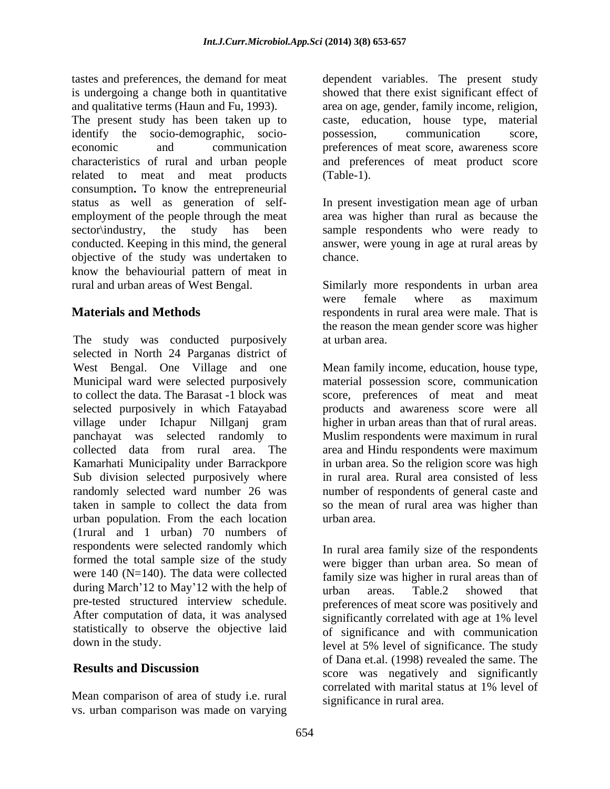The present study has been taken up to caste, education, house type, material identify the socio-demographic, socio-<br>possession, communication score, economic and communication preferences of meat score, awareness score characteristics of rural and urban people and preferences of meat product score related to meat and meat products (Table-1). consumption. To know the entrepreneurial status as well as generation of selfstatus as well as generation of self- In present investigation mean age of urban employment of the people through the meat area was higher than rural as because the sector\industry, the study has been sample respondents who were ready to conducted. Keeping in this mind, the general objective of the study was undertaken to know the behaviourial pattern of meat in

The study was conducted purposively at urban area. selected in North 24 Parganas district of West Bengal. One Village and one Mean family income, education, house type, Municipal ward were selected purposively to collect the data. The Barasat -1 block was score, preferences of meat and meat selected purposively in which Fatayabad products and awareness score were all village under Ichapur Nillganj gram higher in urban areas than that of rural areas. panchayat was selected randomly to Muslim respondents were maximum in rural collected data from rural area. The area and Hindu respondents were maximum Kamarhati Municipality under Barrackpore Sub division selected purposively where in rural area. Rural area consisted of less randomly selected ward number 26 was number of respondents of general caste and taken in sample to collect the data from so the mean of rural area was higher than urban population. From the each location eurban area. (1rural and 1 urban) 70 numbers of respondents were selected randomly which formed the total sample size of the study were 140 (N=140). The data were collected during March'12 to May'12 with the help of the means areas. Table 2 showed that pre-tested structured interview schedule. After computation of data, it was analysed statistically to observe the objective laid

vs. urban comparison was madeon varying

tastes and preferences, the demand for meat dependent variables. The present study is undergoing a change both in quantitative showed that there exist significant effect of and qualitative terms (Haun and Fu, 1993). area on age, gender, family income, religion, possession, communication score, (Table-1).

> answer, were young in age at rural areas by chance.

rural and urban areas of West Bengal. Similarly more respondents in urban area **Materials and Methods** respondents in rural area were male. That is were female where as maximum the reason the mean gender score was higher at urban area.

> material possession score, communication in urban area. So the religion score was high urban area.

down in the study. level at 5% level of significance. The study **Results and Discussion**<br>
score was negatively and significantly Mean comparison of area of study i.e. rural correlated with marital status at 1% level of In rural area family size of the respondents were bigger than urban area. So mean of family size was higher in rural areas than of urban areas. Table.2 showed that preferences of meat score was positively and significantly correlated with age at 1% level of significance and with communication of Dana et.al. (1998) revealed the same. The correlated with marital status at 1% level of significance in rural area.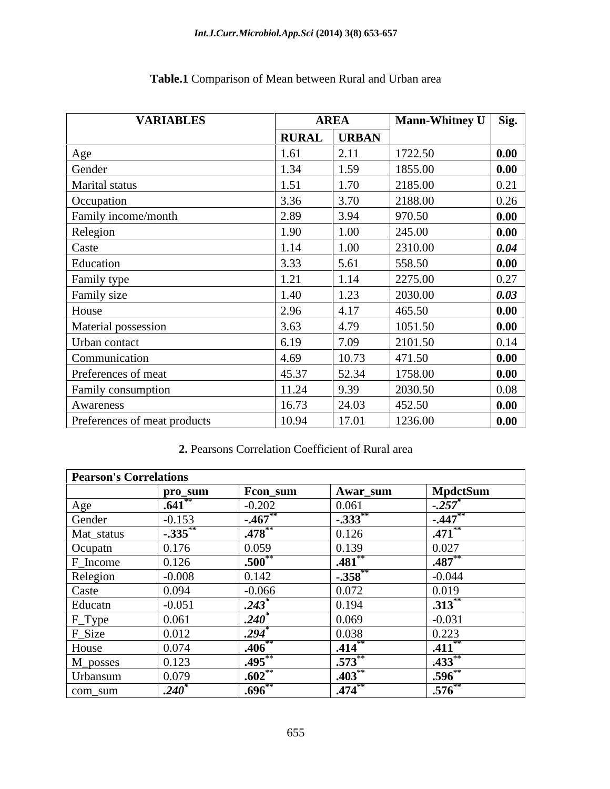| <b>VARIABLES</b>             | <b>AREA</b>  |              | Mann-Whitney U Sig. |                    |
|------------------------------|--------------|--------------|---------------------|--------------------|
|                              | <b>RURAL</b> | <b>URBAN</b> |                     |                    |
| Age                          | 1.61         | 2.11         | 1722.50             | $\boxed{0.00}$     |
| Gender                       | 1.34         | 1.59         | 1855.00             | 0.00               |
| Marital status               | 1.51         | 1.70         | 2185.00             | $\vert 0.21 \vert$ |
| Occupation                   | 3.36         | 3.70         | 2188.00             | 0.26<br>______     |
| Family income/month          | 2.89         | 3.94         | 970.50              | 0.00               |
| Relegion                     | 1.90         | 1.00         | 245.00              | $\vert$ 0.00       |
| Caste                        | 1.14         | 1.00         | 2310.00             | $\boxed{0.04}$     |
| Education                    | 3.33         | 5.61         | 558.50              | 0.00               |
| Family type                  | 1.21         | 1.14         | 2275.00             | 0.27               |
| Family size                  | 1.40         | 1.23         | 2030.00             | $\boxed{0.03}$     |
| House                        | 2.96         | 4.17         | 465.50              | 0.00               |
| Material possession          | 3.63         | 4.79         | 1051.50             | $\boxed{0.00}$     |
| Urban contact                | 6.19         | 7.09         | 2101.50             | $\mid$ 0.14        |
| Communication                | 4.69         | 10.73        | 471.50              | $\vert$ 0.00       |
| Preferences of meat          | 45.37        | 52.34        | 1758.00             | $\vert$ 0.00       |
| Family consumption           | 11.24        | 9.39         | 2030.50             | $\vert$ 0.08       |
| Awareness                    | 16.73        | 24.03        | 452.50              | 0.00               |
| Preferences of meat products | 10.94        | 17.01        | 1236.00             | $\vert$ 0.00       |

# **Table.1** Comparison of Mean between Rural and Urban area

### **2.** Pearsons Correlation Coefficient of Rural area

| <b>Pearson's Correlations</b> |                  |                         |                          |                        |
|-------------------------------|------------------|-------------------------|--------------------------|------------------------|
|                               | pro_sum          | Fcon_sum                | Awar_sum                 | MpdctSum               |
| Age<br>$\sim$                 | .641             | $-0.202$                | 0.061                    | $1-.257$ <sup>*</sup>  |
| Gender                        | $-0.153$         | $-.467$                 | $\overline{1-.333}^{**}$ | $-447$                 |
| Mat_status                    | $-.335$          | $.478***$               | 0.126                    | $\overline{.471}^{**}$ |
| Ocupatn                       | 0.176            | 0.059                   | 0.139                    | 0.027                  |
| F_Income                      | 0.126            | .500                    | .481                     | $.487***$              |
| Relegion                      | $-0.008$         | 0.142                   | $-.358$ <sup>*</sup>     | $-0.044$               |
| Caste                         | 0.094            | $-0.066$                | 0.072                    | 0.019                  |
| Educatn                       | $-0.051$         | $.243$ <sup>*</sup>     | 0.194                    | $.313***$              |
| F_Type                        | 0.061            | _____<br>$.240^\degree$ | 0.069                    | $-0.031$               |
| F_Size                        | 0.012            | .294                    | 0.038                    | 0.223                  |
| House                         | 0.074            | .406                    | .414                     | $.411***$              |
| M_posses                      | 0.123            | .495                    | $\vert .573^*$           | $.433***$              |
| Urbansum                      | 0.079            | $.602*$                 | .403                     | $.596**$               |
| com_sum                       | $.240^{\degree}$ | .696                    | .474                     | $\overline{.576}^{**}$ |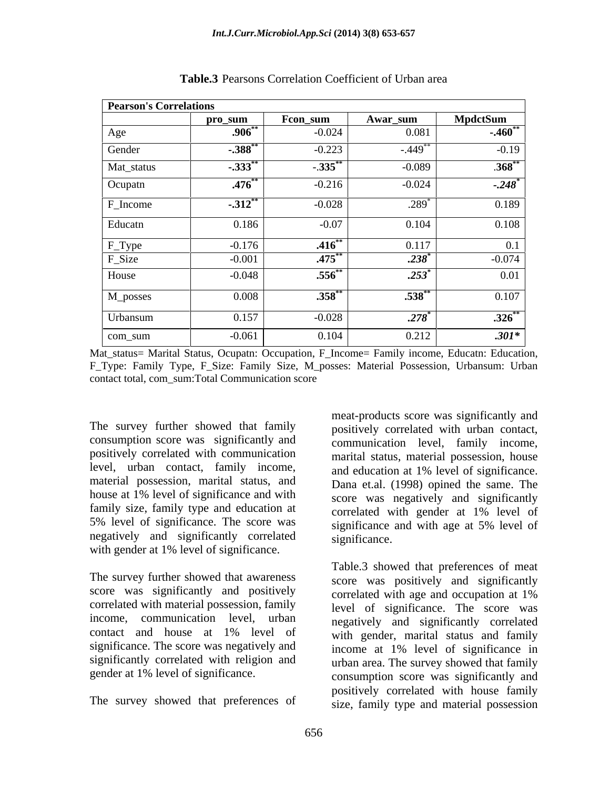| <b>Pearson's Correlations</b> |                |                     |           |                      |
|-------------------------------|----------------|---------------------|-----------|----------------------|
|                               | pro_sum        | Fcon_sum            | Awar_sum  | <b>MpdctSum</b>      |
| Age                           | $.906^{\circ}$ | $-0.024$            | 0.081     | $-.460$              |
| Gender                        | $-.388$        | $-0.223$            | $-.449$   | $-0.19$              |
| Mat_status                    | $-.333$        | $-.335$ **          | $-0.089$  | $.368**$             |
| Ocupatn                       | $.476**$       | $-0.216$            | $-0.024$  | $-.248$ <sup>*</sup> |
| F_Income                      | $-.312$ **     | $-0.028$            | $.289*$   | 0.189                |
| Educatn                       | 0.186          | $-0.07$             | 0.104     | 0.108                |
| F_Type                        | $-0.176$       | .416                | 0.117     | 0.1                  |
| F_Size                        | $-0.001$       | $.475$ <sup>*</sup> | $.238*$   | $-0.074$             |
| House                         | $-0.048$       | $.556^{**}$         | $.253*$   | 0.01                 |
| M_posses                      | 0.008          | $.358^{**}$         | $.538***$ | 0.107                |
| Urbansum                      | 0.157          | $-0.028$            | .278      | $.326^{**}$          |
| com_sum                       | $-0.061$       | 0.104               | 0.212     | $.301*$              |

**Table.3** Pearsons Correlation Coefficient of Urban area

Mat\_status= Marital Status, Ocupatn: Occupation, F\_Income= Family income, Educatn: Education, F\_Type: Family Type, F\_Size: Family Size, M\_posses: Material Possession, Urbansum: Urban contact total, com\_sum:Total Communication score

The survey further showed that family consumption score was significantly and positively correlated with communication level, urban contact, family income, material possession, marital status, and family size, family type and education at correlated with gender at 1% level of 5% level of significance. The score was significance and with age at 5% level of negatively and significantly correlated with gender at 1% level of significance.

The survey further showed that awareness score was significantly and positively correlated with age and occupation at 1% correlated with material possession, family income, communication level, urban significance. The score was negatively and income at 1% level of significance in significantly correlated with religion and

The survey showed that preferences of

house at 1% level of significance and with score was negatively and significantly meat-products score was significantly and positively correlated with urban contact, communication level, family income, marital status, material possession, house and education at 1% level of significance. Dana et.al. (1998) opined the same. The score was negatively and significantly correlated with gender at 1% level of significance and with age at 5% level of significance.

contact and house at 1% level of with gender marital status and family gender at 1% level of significance. consumption score was significantly and Table.3 showed that preferences of meat score was positively and significantly correlated with age and occupation at 1% level of significance. The score was negatively and significantly correlated with gender, marital status and family income at 1% level of significance in urban area. The survey showed that family positively correlated with house family size, family type and material possession